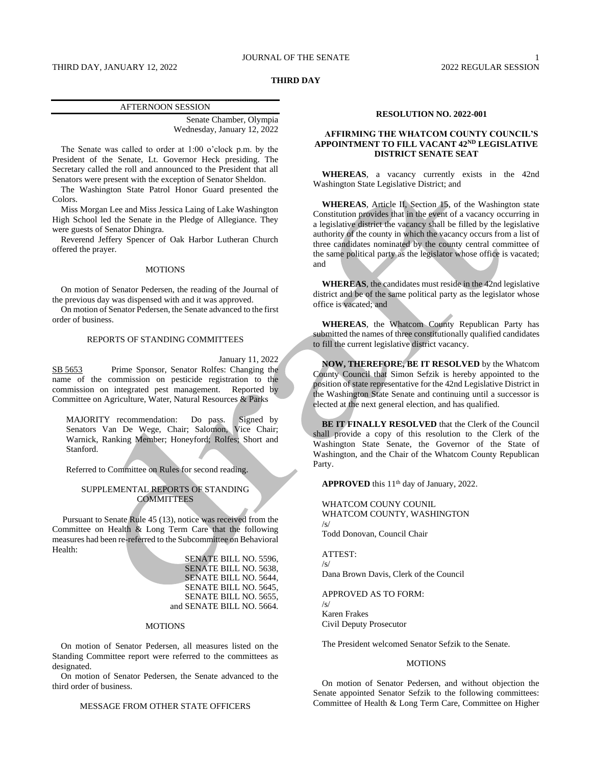### THIRD DAY, JANUARY 12, 2022 2022 REGULAR SESSION

# **THIRD DAY**

### AFTERNOON SESSION

Senate Chamber, Olympia Wednesday, January 12, 2022

The Senate was called to order at 1:00 o'clock p.m. by the President of the Senate, Lt. Governor Heck presiding. The Secretary called the roll and announced to the President that all Senators were present with the exception of Senator Sheldon.

The Washington State Patrol Honor Guard presented the Colors.

Miss Morgan Lee and Miss Jessica Laing of Lake Washington High School led the Senate in the Pledge of Allegiance. They were guests of Senator Dhingra.

Reverend Jeffery Spencer of Oak Harbor Lutheran Church offered the prayer.

# **MOTIONS**

On motion of Senator Pedersen, the reading of the Journal of the previous day was dispensed with and it was approved.

On motion of Senator Pedersen, the Senate advanced to the first order of business.

# REPORTS OF STANDING COMMITTEES

January 11, 2022

SB 5653 Prime Sponsor, Senator Rolfes: Changing the name of the commission on pesticide registration to the commission on integrated pest management. Reported by Committee on Agriculture, Water, Natural Resources & Parks

MAJORITY recommendation: Do pass. Signed by Senators Van De Wege, Chair; Salomon, Vice Chair; Warnick, Ranking Member; Honeyford; Rolfes; Short and Stanford.

Referred to Committee on Rules for second reading.

# SUPPLEMENTAL REPORTS OF STANDING **COMMITTEES**

Pursuant to Senate Rule 45 (13), notice was received from the Committee on Health & Long Term Care that the following measures had been re-referred to the Subcommittee on Behavioral Health:

> SENATE BILL NO. 5596, SENATE BILL NO. 5638, SENATE BILL NO. 5644, SENATE BILL NO. 5645, SENATE BILL NO. 5655, and SENATE BILL NO. 5664.

#### **MOTIONS**

On motion of Senator Pedersen, all measures listed on the Standing Committee report were referred to the committees as designated.

On motion of Senator Pedersen, the Senate advanced to the third order of business.

## MESSAGE FROM OTHER STATE OFFICERS

#### **RESOLUTION NO. 2022-001**

# **AFFIRMING THE WHATCOM COUNTY COUNCIL'S APPOINTMENT TO FILL VACANT 42ND LEGISLATIVE DISTRICT SENATE SEAT**

**WHEREAS**, a vacancy currently exists in the 42nd Washington State Legislative District; and

**WHEREAS**, Article II, Section 15, of the Washington state Constitution provides that in the event of a vacancy occurring in a legislative district the vacancy shall be filled by the legislative authority of the county in which the vacancy occurs from a list of three candidates nominated by the county central committee of the same political party as the legislator whose office is vacated; and

**WHEREAS**, the candidates must reside in the 42nd legislative district and be of the same political party as the legislator whose office is vacated; and

**WHEREAS**, the Whatcom County Republican Party has submitted the names of three constitutionally qualified candidates to fill the current legislative district vacancy.

**NOW, THEREFORE, BE IT RESOLVED** by the Whatcom County Council that Simon Sefzik is hereby appointed to the position of state representative for the 42nd Legislative District in the Washington State Senate and continuing until a successor is elected at the next general election, and has qualified.

**BE IT FINALLY RESOLVED** that the Clerk of the Council shall provide a copy of this resolution to the Clerk of the Washington State Senate, the Governor of the State of Washington, and the Chair of the Whatcom County Republican Party.

**APPROVED** this 11<sup>th</sup> day of January, 2022.

WHATCOM COUNY COUNIL WHATCOM COUNTY, WASHINGTON  $\sqrt{s}$ Todd Donovan, Council Chair

#### ATTEST:

/s/ Dana Brown Davis, Clerk of the Council

APPROVED AS TO FORM: /s/ Karen Frakes

Civil Deputy Prosecutor

The President welcomed Senator Sefzik to the Senate.

# MOTIONS

On motion of Senator Pedersen, and without objection the Senate appointed Senator Sefzik to the following committees: Committee of Health & Long Term Care, Committee on Higher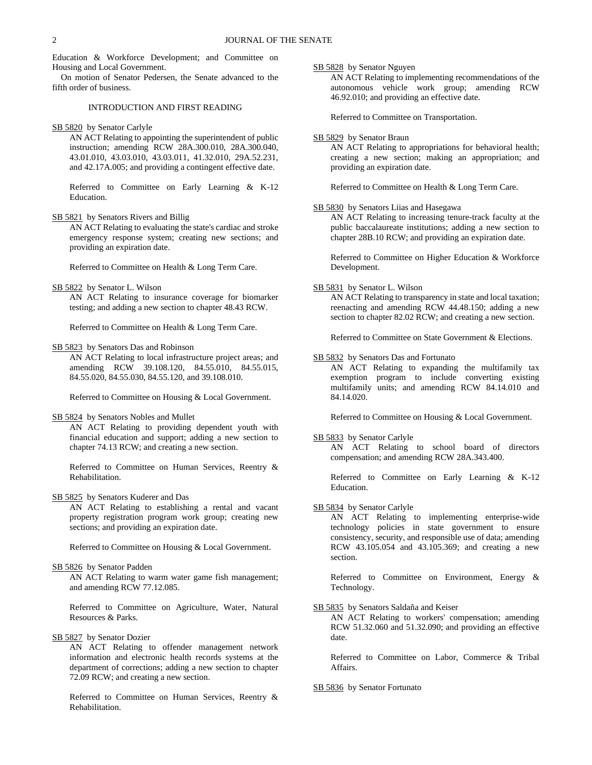Education & Workforce Development; and Committee on Housing and Local Government.

On motion of Senator Pedersen, the Senate advanced to the fifth order of business.

# INTRODUCTION AND FIRST READING

# SB 5820 by Senator Carlyle

AN ACT Relating to appointing the superintendent of public instruction; amending RCW 28A.300.010, 28A.300.040, 43.01.010, 43.03.010, 43.03.011, 41.32.010, 29A.52.231, and 42.17A.005; and providing a contingent effective date.

Referred to Committee on Early Learning & K-12 Education.

SB 5821 by Senators Rivers and Billig

AN ACT Relating to evaluating the state's cardiac and stroke emergency response system; creating new sections; and providing an expiration date.

Referred to Committee on Health & Long Term Care.

SB 5822 by Senator L. Wilson

AN ACT Relating to insurance coverage for biomarker testing; and adding a new section to chapter 48.43 RCW.

Referred to Committee on Health & Long Term Care.

SB 5823 by Senators Das and Robinson

AN ACT Relating to local infrastructure project areas; and amending RCW 39.108.120, 84.55.010, 84.55.015, 84.55.020, 84.55.030, 84.55.120, and 39.108.010.

Referred to Committee on Housing & Local Government.

SB 5824 by Senators Nobles and Mullet

AN ACT Relating to providing dependent youth with financial education and support; adding a new section to chapter 74.13 RCW; and creating a new section.

Referred to Committee on Human Services, Reentry & Rehabilitation.

SB 5825 by Senators Kuderer and Das

AN ACT Relating to establishing a rental and vacant property registration program work group; creating new sections; and providing an expiration date.

Referred to Committee on Housing & Local Government.

# SB 5826 by Senator Padden

AN ACT Relating to warm water game fish management; and amending RCW 77.12.085.

Referred to Committee on Agriculture, Water, Natural Resources & Parks.

SB 5827 by Senator Dozier

AN ACT Relating to offender management network information and electronic health records systems at the department of corrections; adding a new section to chapter 72.09 RCW; and creating a new section.

Referred to Committee on Human Services, Reentry & Rehabilitation.

SB 5828 by Senator Nguyen

AN ACT Relating to implementing recommendations of the autonomous vehicle work group; amending RCW 46.92.010; and providing an effective date.

Referred to Committee on Transportation.

### SB 5829 by Senator Braun

AN ACT Relating to appropriations for behavioral health; creating a new section; making an appropriation; and providing an expiration date.

Referred to Committee on Health & Long Term Care.

# SB 5830 by Senators Liias and Hasegawa

AN ACT Relating to increasing tenure-track faculty at the public baccalaureate institutions; adding a new section to chapter 28B.10 RCW; and providing an expiration date.

Referred to Committee on Higher Education & Workforce Development.

### SB 5831 by Senator L. Wilson

AN ACT Relating to transparency in state and local taxation; reenacting and amending RCW 44.48.150; adding a new section to chapter 82.02 RCW; and creating a new section.

Referred to Committee on State Government & Elections.

# SB 5832 by Senators Das and Fortunato

AN ACT Relating to expanding the multifamily tax exemption program to include converting existing multifamily units; and amending RCW 84.14.010 and 84.14.020.

Referred to Committee on Housing & Local Government.

# SB 5833 by Senator Carlyle

AN ACT Relating to school board of directors compensation; and amending RCW 28A.343.400.

Referred to Committee on Early Learning & K-12 Education.

SB 5834 by Senator Carlyle

AN ACT Relating to implementing enterprise-wide technology policies in state government to ensure consistency, security, and responsible use of data; amending RCW 43.105.054 and 43.105.369; and creating a new section.

Referred to Committee on Environment, Energy & Technology.

SB 5835 by Senators Saldaña and Keiser

AN ACT Relating to workers' compensation; amending RCW 51.32.060 and 51.32.090; and providing an effective date.

Referred to Committee on Labor, Commerce & Tribal Affairs.

SB 5836 by Senator Fortunato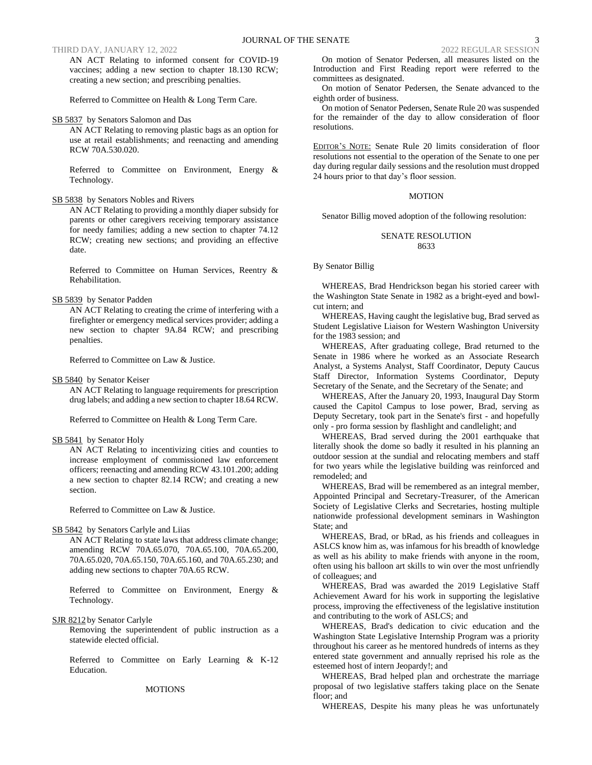## THIRD DAY, JANUARY 12, 2022 2022 REGULAR SESSION

AN ACT Relating to informed consent for COVID-19 vaccines; adding a new section to chapter 18.130 RCW; creating a new section; and prescribing penalties.

Referred to Committee on Health & Long Term Care.

# SB 5837 by Senators Salomon and Das

AN ACT Relating to removing plastic bags as an option for use at retail establishments; and reenacting and amending RCW 70A.530.020.

Referred to Committee on Environment, Energy & Technology.

### SB 5838 by Senators Nobles and Rivers

AN ACT Relating to providing a monthly diaper subsidy for parents or other caregivers receiving temporary assistance for needy families; adding a new section to chapter 74.12 RCW; creating new sections; and providing an effective date.

Referred to Committee on Human Services, Reentry & Rehabilitation.

## SB 5839 by Senator Padden

AN ACT Relating to creating the crime of interfering with a firefighter or emergency medical services provider; adding a new section to chapter 9A.84 RCW; and prescribing penalties.

Referred to Committee on Law & Justice.

#### SB 5840 by Senator Keiser

AN ACT Relating to language requirements for prescription drug labels; and adding a new section to chapter 18.64 RCW.

Referred to Committee on Health & Long Term Care.

### SB 5841 by Senator Holy

AN ACT Relating to incentivizing cities and counties to increase employment of commissioned law enforcement officers; reenacting and amending RCW 43.101.200; adding a new section to chapter 82.14 RCW; and creating a new section.

Referred to Committee on Law & Justice.

### SB 5842 by Senators Carlyle and Liias

AN ACT Relating to state laws that address climate change; amending RCW 70A.65.070, 70A.65.100, 70A.65.200, 70A.65.020, 70A.65.150, 70A.65.160, and 70A.65.230; and adding new sections to chapter 70A.65 RCW.

Referred to Committee on Environment, Energy & Technology.

SJR 8212 by Senator Carlyle

Removing the superintendent of public instruction as a statewide elected official.

Referred to Committee on Early Learning & K-12 Education.

### MOTIONS

On motion of Senator Pedersen, all measures listed on the Introduction and First Reading report were referred to the committees as designated.

On motion of Senator Pedersen, the Senate advanced to the eighth order of business.

On motion of Senator Pedersen, Senate Rule 20 was suspended for the remainder of the day to allow consideration of floor resolutions.

EDITOR'S NOTE: Senate Rule 20 limits consideration of floor resolutions not essential to the operation of the Senate to one per day during regular daily sessions and the resolution must dropped 24 hours prior to that day's floor session.

### MOTION

Senator Billig moved adoption of the following resolution:

# SENATE RESOLUTION 8633

### By Senator Billig

WHEREAS, Brad Hendrickson began his storied career with the Washington State Senate in 1982 as a bright-eyed and bowlcut intern; and

WHEREAS, Having caught the legislative bug, Brad served as Student Legislative Liaison for Western Washington University for the 1983 session; and

WHEREAS, After graduating college, Brad returned to the Senate in 1986 where he worked as an Associate Research Analyst, a Systems Analyst, Staff Coordinator, Deputy Caucus Staff Director, Information Systems Coordinator, Deputy Secretary of the Senate, and the Secretary of the Senate; and

WHEREAS, After the January 20, 1993, Inaugural Day Storm caused the Capitol Campus to lose power, Brad, serving as Deputy Secretary, took part in the Senate's first - and hopefully only - pro forma session by flashlight and candlelight; and

WHEREAS, Brad served during the 2001 earthquake that literally shook the dome so badly it resulted in his planning an outdoor session at the sundial and relocating members and staff for two years while the legislative building was reinforced and remodeled; and

WHEREAS, Brad will be remembered as an integral member, Appointed Principal and Secretary-Treasurer, of the American Society of Legislative Clerks and Secretaries, hosting multiple nationwide professional development seminars in Washington State; and

WHEREAS, Brad, or bRad, as his friends and colleagues in ASLCS know him as, was infamous for his breadth of knowledge as well as his ability to make friends with anyone in the room, often using his balloon art skills to win over the most unfriendly of colleagues; and

WHEREAS, Brad was awarded the 2019 Legislative Staff Achievement Award for his work in supporting the legislative process, improving the effectiveness of the legislative institution and contributing to the work of ASLCS; and

WHEREAS, Brad's dedication to civic education and the Washington State Legislative Internship Program was a priority throughout his career as he mentored hundreds of interns as they entered state government and annually reprised his role as the esteemed host of intern Jeopardy!; and

WHEREAS, Brad helped plan and orchestrate the marriage proposal of two legislative staffers taking place on the Senate floor; and

WHEREAS, Despite his many pleas he was unfortunately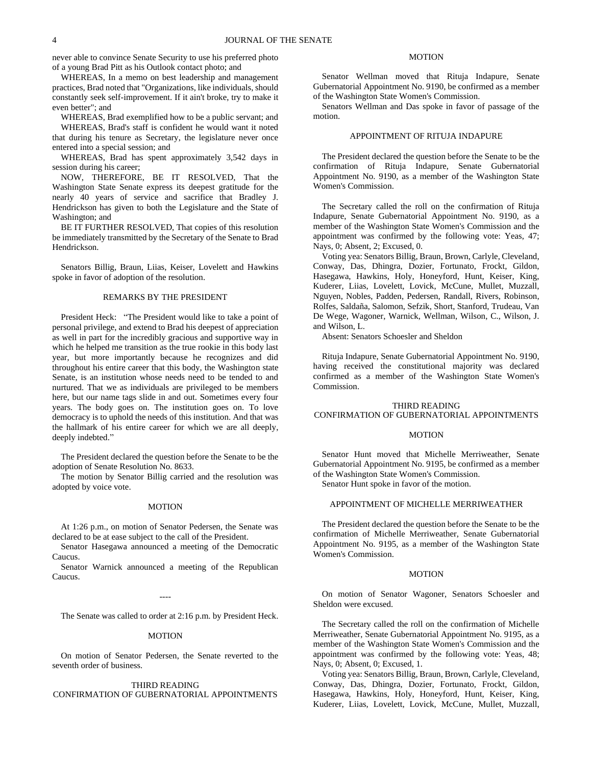never able to convince Senate Security to use his preferred photo of a young Brad Pitt as his Outlook contact photo; and

WHEREAS, In a memo on best leadership and management practices, Brad noted that "Organizations, like individuals, should constantly seek self-improvement. If it ain't broke, try to make it even better"; and

WHEREAS, Brad exemplified how to be a public servant; and WHEREAS, Brad's staff is confident he would want it noted that during his tenure as Secretary, the legislature never once

entered into a special session; and WHEREAS, Brad has spent approximately 3,542 days in session during his career;

NOW, THEREFORE, BE IT RESOLVED, That the Washington State Senate express its deepest gratitude for the nearly 40 years of service and sacrifice that Bradley J. Hendrickson has given to both the Legislature and the State of Washington; and

BE IT FURTHER RESOLVED, That copies of this resolution be immediately transmitted by the Secretary of the Senate to Brad Hendrickson.

Senators Billig, Braun, Liias, Keiser, Lovelett and Hawkins spoke in favor of adoption of the resolution.

## REMARKS BY THE PRESIDENT

President Heck: "The President would like to take a point of personal privilege, and extend to Brad his deepest of appreciation as well in part for the incredibly gracious and supportive way in which he helped me transition as the true rookie in this body last year, but more importantly because he recognizes and did throughout his entire career that this body, the Washington state Senate, is an institution whose needs need to be tended to and nurtured. That we as individuals are privileged to be members here, but our name tags slide in and out. Sometimes every four years. The body goes on. The institution goes on. To love democracy is to uphold the needs of this institution. And that was the hallmark of his entire career for which we are all deeply, deeply indebted."

The President declared the question before the Senate to be the adoption of Senate Resolution No. 8633.

The motion by Senator Billig carried and the resolution was adopted by voice vote.

#### **MOTION**

At 1:26 p.m., on motion of Senator Pedersen, the Senate was declared to be at ease subject to the call of the President.

Senator Hasegawa announced a meeting of the Democratic Caucus.

Senator Warnick announced a meeting of the Republican Caucus.

----

The Senate was called to order at 2:16 p.m. by President Heck.

#### MOTION

On motion of Senator Pedersen, the Senate reverted to the seventh order of business.

# THIRD READING CONFIRMATION OF GUBERNATORIAL APPOINTMENTS

# MOTION

Senator Wellman moved that Rituja Indapure, Senate Gubernatorial Appointment No. 9190, be confirmed as a member of the Washington State Women's Commission.

Senators Wellman and Das spoke in favor of passage of the motion.

# APPOINTMENT OF RITUJA INDAPURE

The President declared the question before the Senate to be the confirmation of Rituja Indapure, Senate Gubernatorial Appointment No. 9190, as a member of the Washington State Women's Commission.

The Secretary called the roll on the confirmation of Rituja Indapure, Senate Gubernatorial Appointment No. 9190, as a member of the Washington State Women's Commission and the appointment was confirmed by the following vote: Yeas, 47; Nays, 0; Absent, 2; Excused, 0.

Voting yea: Senators Billig, Braun, Brown, Carlyle, Cleveland, Conway, Das, Dhingra, Dozier, Fortunato, Frockt, Gildon, Hasegawa, Hawkins, Holy, Honeyford, Hunt, Keiser, King, Kuderer, Liias, Lovelett, Lovick, McCune, Mullet, Muzzall, Nguyen, Nobles, Padden, Pedersen, Randall, Rivers, Robinson, Rolfes, Saldaña, Salomon, Sefzik, Short, Stanford, Trudeau, Van De Wege, Wagoner, Warnick, Wellman, Wilson, C., Wilson, J. and Wilson, L.

Absent: Senators Schoesler and Sheldon

Rituja Indapure, Senate Gubernatorial Appointment No. 9190, having received the constitutional majority was declared confirmed as a member of the Washington State Women's Commission.

## THIRD READING CONFIRMATION OF GUBERNATORIAL APPOINTMENTS

### MOTION

Senator Hunt moved that Michelle Merriweather, Senate Gubernatorial Appointment No. 9195, be confirmed as a member of the Washington State Women's Commission.

Senator Hunt spoke in favor of the motion.

# APPOINTMENT OF MICHELLE MERRIWEATHER

The President declared the question before the Senate to be the confirmation of Michelle Merriweather, Senate Gubernatorial Appointment No. 9195, as a member of the Washington State Women's Commission.

## MOTION

On motion of Senator Wagoner, Senators Schoesler and Sheldon were excused.

The Secretary called the roll on the confirmation of Michelle Merriweather, Senate Gubernatorial Appointment No. 9195, as a member of the Washington State Women's Commission and the appointment was confirmed by the following vote: Yeas, 48; Nays, 0; Absent, 0; Excused, 1.

Voting yea: Senators Billig, Braun, Brown, Carlyle, Cleveland, Conway, Das, Dhingra, Dozier, Fortunato, Frockt, Gildon, Hasegawa, Hawkins, Holy, Honeyford, Hunt, Keiser, King, Kuderer, Liias, Lovelett, Lovick, McCune, Mullet, Muzzall,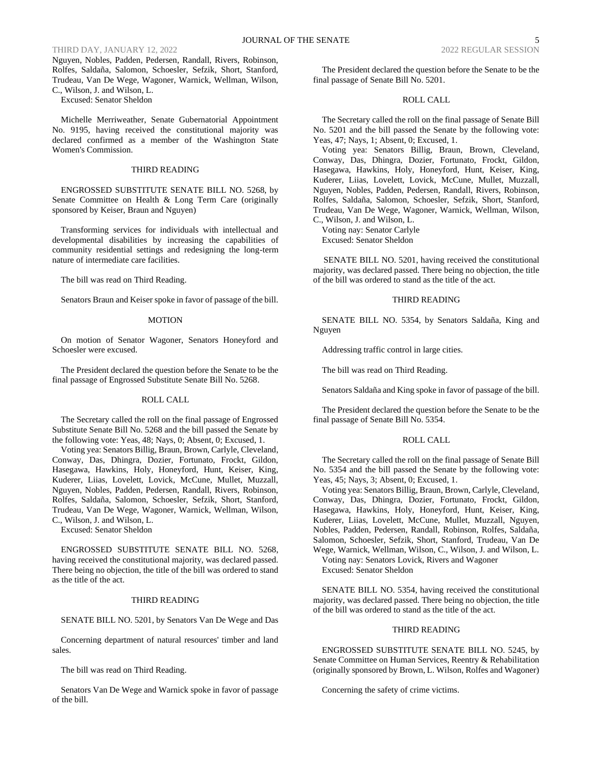## THIRD DAY, JANUARY 12, 2022

Nguyen, Nobles, Padden, Pedersen, Randall, Rivers, Robinson, Rolfes, Saldaña, Salomon, Schoesler, Sefzik, Short, Stanford, Trudeau, Van De Wege, Wagoner, Warnick, Wellman, Wilson, C., Wilson, J. and Wilson, L.

Excused: Senator Sheldon

Michelle Merriweather, Senate Gubernatorial Appointment No. 9195, having received the constitutional majority was declared confirmed as a member of the Washington State Women's Commission.

# THIRD READING

ENGROSSED SUBSTITUTE SENATE BILL NO. 5268, by Senate Committee on Health & Long Term Care (originally sponsored by Keiser, Braun and Nguyen)

Transforming services for individuals with intellectual and developmental disabilities by increasing the capabilities of community residential settings and redesigning the long-term nature of intermediate care facilities.

The bill was read on Third Reading.

Senators Braun and Keiser spoke in favor of passage of the bill.

#### MOTION

On motion of Senator Wagoner, Senators Honeyford and Schoesler were excused.

The President declared the question before the Senate to be the final passage of Engrossed Substitute Senate Bill No. 5268.

#### ROLL CALL

The Secretary called the roll on the final passage of Engrossed Substitute Senate Bill No. 5268 and the bill passed the Senate by the following vote: Yeas, 48; Nays, 0; Absent, 0; Excused, 1.

Voting yea: Senators Billig, Braun, Brown, Carlyle, Cleveland, Conway, Das, Dhingra, Dozier, Fortunato, Frockt, Gildon, Hasegawa, Hawkins, Holy, Honeyford, Hunt, Keiser, King, Kuderer, Liias, Lovelett, Lovick, McCune, Mullet, Muzzall, Nguyen, Nobles, Padden, Pedersen, Randall, Rivers, Robinson, Rolfes, Saldaña, Salomon, Schoesler, Sefzik, Short, Stanford, Trudeau, Van De Wege, Wagoner, Warnick, Wellman, Wilson, C., Wilson, J. and Wilson, L.

Excused: Senator Sheldon

ENGROSSED SUBSTITUTE SENATE BILL NO. 5268, having received the constitutional majority, was declared passed. There being no objection, the title of the bill was ordered to stand as the title of the act.

# THIRD READING

SENATE BILL NO. 5201, by Senators Van De Wege and Das

Concerning department of natural resources' timber and land sales.

The bill was read on Third Reading.

Senators Van De Wege and Warnick spoke in favor of passage of the bill.

The President declared the question before the Senate to be the final passage of Senate Bill No. 5201.

# ROLL CALL

The Secretary called the roll on the final passage of Senate Bill No. 5201 and the bill passed the Senate by the following vote: Yeas, 47; Nays, 1; Absent, 0; Excused, 1.

Voting yea: Senators Billig, Braun, Brown, Cleveland, Conway, Das, Dhingra, Dozier, Fortunato, Frockt, Gildon, Hasegawa, Hawkins, Holy, Honeyford, Hunt, Keiser, King, Kuderer, Liias, Lovelett, Lovick, McCune, Mullet, Muzzall, Nguyen, Nobles, Padden, Pedersen, Randall, Rivers, Robinson, Rolfes, Saldaña, Salomon, Schoesler, Sefzik, Short, Stanford, Trudeau, Van De Wege, Wagoner, Warnick, Wellman, Wilson, C., Wilson, J. and Wilson, L.

Voting nay: Senator Carlyle Excused: Senator Sheldon

SENATE BILL NO. 5201, having received the constitutional majority, was declared passed. There being no objection, the title of the bill was ordered to stand as the title of the act.

## THIRD READING

SENATE BILL NO. 5354, by Senators Saldaña, King and Nguyen

Addressing traffic control in large cities.

The bill was read on Third Reading.

Senators Saldaña and King spoke in favor of passage of the bill.

The President declared the question before the Senate to be the final passage of Senate Bill No. 5354.

# ROLL CALL

The Secretary called the roll on the final passage of Senate Bill No. 5354 and the bill passed the Senate by the following vote: Yeas, 45; Nays, 3; Absent, 0; Excused, 1.

Voting yea: Senators Billig, Braun, Brown, Carlyle, Cleveland, Conway, Das, Dhingra, Dozier, Fortunato, Frockt, Gildon, Hasegawa, Hawkins, Holy, Honeyford, Hunt, Keiser, King, Kuderer, Liias, Lovelett, McCune, Mullet, Muzzall, Nguyen, Nobles, Padden, Pedersen, Randall, Robinson, Rolfes, Saldaña, Salomon, Schoesler, Sefzik, Short, Stanford, Trudeau, Van De Wege, Warnick, Wellman, Wilson, C., Wilson, J. and Wilson, L.

Voting nay: Senators Lovick, Rivers and Wagoner Excused: Senator Sheldon

SENATE BILL NO. 5354, having received the constitutional majority, was declared passed. There being no objection, the title of the bill was ordered to stand as the title of the act.

### THIRD READING

ENGROSSED SUBSTITUTE SENATE BILL NO. 5245, by Senate Committee on Human Services, Reentry & Rehabilitation (originally sponsored by Brown, L. Wilson, Rolfes and Wagoner)

Concerning the safety of crime victims.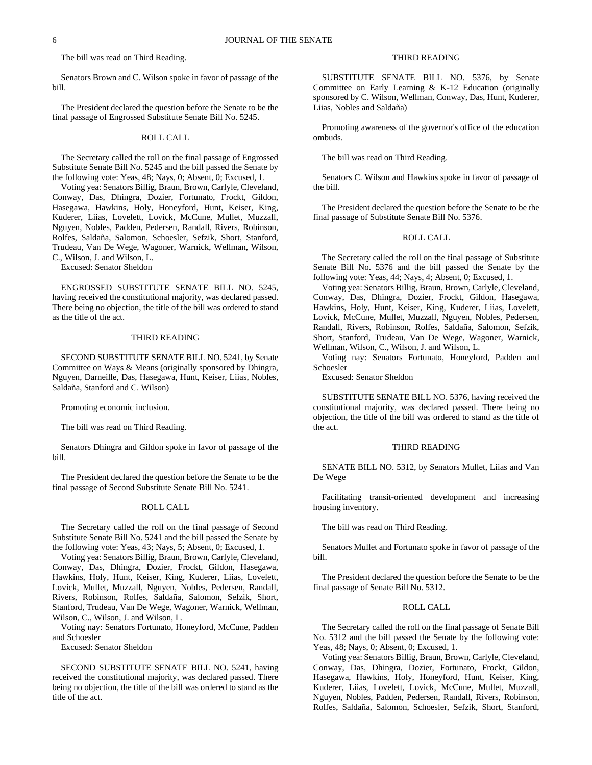6 JOURNAL OF THE SENATE

The bill was read on Third Reading.

Senators Brown and C. Wilson spoke in favor of passage of the bill.

The President declared the question before the Senate to be the final passage of Engrossed Substitute Senate Bill No. 5245.

### ROLL CALL

The Secretary called the roll on the final passage of Engrossed Substitute Senate Bill No. 5245 and the bill passed the Senate by the following vote: Yeas, 48; Nays, 0; Absent, 0; Excused, 1.

Voting yea: Senators Billig, Braun, Brown, Carlyle, Cleveland, Conway, Das, Dhingra, Dozier, Fortunato, Frockt, Gildon, Hasegawa, Hawkins, Holy, Honeyford, Hunt, Keiser, King, Kuderer, Liias, Lovelett, Lovick, McCune, Mullet, Muzzall, Nguyen, Nobles, Padden, Pedersen, Randall, Rivers, Robinson, Rolfes, Saldaña, Salomon, Schoesler, Sefzik, Short, Stanford, Trudeau, Van De Wege, Wagoner, Warnick, Wellman, Wilson, C., Wilson, J. and Wilson, L.

Excused: Senator Sheldon

ENGROSSED SUBSTITUTE SENATE BILL NO. 5245, having received the constitutional majority, was declared passed. There being no objection, the title of the bill was ordered to stand as the title of the act.

# THIRD READING

SECOND SUBSTITUTE SENATE BILL NO. 5241, by Senate Committee on Ways & Means (originally sponsored by Dhingra, Nguyen, Darneille, Das, Hasegawa, Hunt, Keiser, Liias, Nobles, Saldaña, Stanford and C. Wilson)

Promoting economic inclusion.

The bill was read on Third Reading.

Senators Dhingra and Gildon spoke in favor of passage of the bill.

The President declared the question before the Senate to be the final passage of Second Substitute Senate Bill No. 5241.

### ROLL CALL

The Secretary called the roll on the final passage of Second Substitute Senate Bill No. 5241 and the bill passed the Senate by the following vote: Yeas, 43; Nays, 5; Absent, 0; Excused, 1.

Voting yea: Senators Billig, Braun, Brown, Carlyle, Cleveland, Conway, Das, Dhingra, Dozier, Frockt, Gildon, Hasegawa, Hawkins, Holy, Hunt, Keiser, King, Kuderer, Liias, Lovelett, Lovick, Mullet, Muzzall, Nguyen, Nobles, Pedersen, Randall, Rivers, Robinson, Rolfes, Saldaña, Salomon, Sefzik, Short, Stanford, Trudeau, Van De Wege, Wagoner, Warnick, Wellman, Wilson, C., Wilson, J. and Wilson, L.

Voting nay: Senators Fortunato, Honeyford, McCune, Padden and Schoesler

Excused: Senator Sheldon

SECOND SUBSTITUTE SENATE BILL NO. 5241, having received the constitutional majority, was declared passed. There being no objection, the title of the bill was ordered to stand as the title of the act.

# THIRD READING

SUBSTITUTE SENATE BILL NO. 5376, by Senate Committee on Early Learning & K-12 Education (originally sponsored by C. Wilson, Wellman, Conway, Das, Hunt, Kuderer, Liias, Nobles and Saldaña)

Promoting awareness of the governor's office of the education ombuds.

The bill was read on Third Reading.

Senators C. Wilson and Hawkins spoke in favor of passage of the bill.

The President declared the question before the Senate to be the final passage of Substitute Senate Bill No. 5376.

# ROLL CALL

The Secretary called the roll on the final passage of Substitute Senate Bill No. 5376 and the bill passed the Senate by the following vote: Yeas, 44; Nays, 4; Absent, 0; Excused, 1.

Voting yea: Senators Billig, Braun, Brown, Carlyle, Cleveland, Conway, Das, Dhingra, Dozier, Frockt, Gildon, Hasegawa, Hawkins, Holy, Hunt, Keiser, King, Kuderer, Liias, Lovelett, Lovick, McCune, Mullet, Muzzall, Nguyen, Nobles, Pedersen, Randall, Rivers, Robinson, Rolfes, Saldaña, Salomon, Sefzik, Short, Stanford, Trudeau, Van De Wege, Wagoner, Warnick, Wellman, Wilson, C., Wilson, J. and Wilson, L.

Voting nay: Senators Fortunato, Honeyford, Padden and Schoesler

Excused: Senator Sheldon

SUBSTITUTE SENATE BILL NO. 5376, having received the constitutional majority, was declared passed. There being no objection, the title of the bill was ordered to stand as the title of the act.

## THIRD READING

SENATE BILL NO. 5312, by Senators Mullet, Liias and Van De Wege

Facilitating transit-oriented development and increasing housing inventory.

The bill was read on Third Reading.

Senators Mullet and Fortunato spoke in favor of passage of the bill.

The President declared the question before the Senate to be the final passage of Senate Bill No. 5312.

# ROLL CALL

The Secretary called the roll on the final passage of Senate Bill No. 5312 and the bill passed the Senate by the following vote: Yeas, 48; Nays, 0; Absent, 0; Excused, 1.

Voting yea: Senators Billig, Braun, Brown, Carlyle, Cleveland, Conway, Das, Dhingra, Dozier, Fortunato, Frockt, Gildon, Hasegawa, Hawkins, Holy, Honeyford, Hunt, Keiser, King, Kuderer, Liias, Lovelett, Lovick, McCune, Mullet, Muzzall, Nguyen, Nobles, Padden, Pedersen, Randall, Rivers, Robinson, Rolfes, Saldaña, Salomon, Schoesler, Sefzik, Short, Stanford,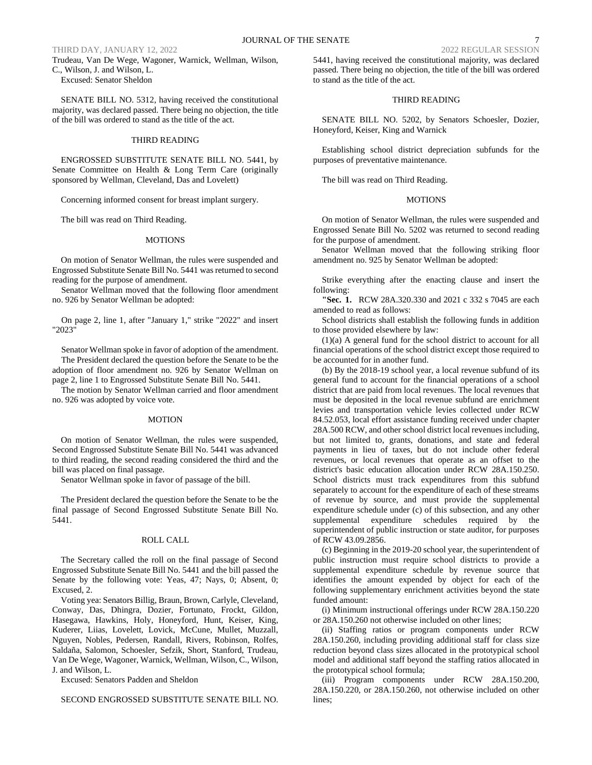# THIRD DAY, JANUARY 12, 2022 2022 REGULAR SESSION

Trudeau, Van De Wege, Wagoner, Warnick, Wellman, Wilson, C., Wilson, J. and Wilson, L.

Excused: Senator Sheldon

SENATE BILL NO. 5312, having received the constitutional majority, was declared passed. There being no objection, the title of the bill was ordered to stand as the title of the act.

#### THIRD READING

ENGROSSED SUBSTITUTE SENATE BILL NO. 5441, by Senate Committee on Health & Long Term Care (originally sponsored by Wellman, Cleveland, Das and Lovelett)

Concerning informed consent for breast implant surgery.

The bill was read on Third Reading.

#### MOTIONS

On motion of Senator Wellman, the rules were suspended and Engrossed Substitute Senate Bill No. 5441 was returned to second reading for the purpose of amendment.

Senator Wellman moved that the following floor amendment no. 926 by Senator Wellman be adopted:

On page 2, line 1, after "January 1," strike "2022" and insert "2023"

Senator Wellman spoke in favor of adoption of the amendment. The President declared the question before the Senate to be the adoption of floor amendment no. 926 by Senator Wellman on page 2, line 1 to Engrossed Substitute Senate Bill No. 5441.

The motion by Senator Wellman carried and floor amendment no. 926 was adopted by voice vote.

#### MOTION

On motion of Senator Wellman, the rules were suspended, Second Engrossed Substitute Senate Bill No. 5441 was advanced to third reading, the second reading considered the third and the bill was placed on final passage.

Senator Wellman spoke in favor of passage of the bill.

The President declared the question before the Senate to be the final passage of Second Engrossed Substitute Senate Bill No. 5441.

### ROLL CALL

The Secretary called the roll on the final passage of Second Engrossed Substitute Senate Bill No. 5441 and the bill passed the Senate by the following vote: Yeas, 47; Nays, 0; Absent, 0; Excused, 2.

Voting yea: Senators Billig, Braun, Brown, Carlyle, Cleveland, Conway, Das, Dhingra, Dozier, Fortunato, Frockt, Gildon, Hasegawa, Hawkins, Holy, Honeyford, Hunt, Keiser, King, Kuderer, Liias, Lovelett, Lovick, McCune, Mullet, Muzzall, Nguyen, Nobles, Pedersen, Randall, Rivers, Robinson, Rolfes, Saldaña, Salomon, Schoesler, Sefzik, Short, Stanford, Trudeau, Van De Wege, Wagoner, Warnick, Wellman, Wilson, C., Wilson, J. and Wilson, L.

Excused: Senators Padden and Sheldon

SECOND ENGROSSED SUBSTITUTE SENATE BILL NO.

5441, having received the constitutional majority, was declared passed. There being no objection, the title of the bill was ordered to stand as the title of the act.

# THIRD READING

SENATE BILL NO. 5202, by Senators Schoesler, Dozier, Honeyford, Keiser, King and Warnick

Establishing school district depreciation subfunds for the purposes of preventative maintenance.

The bill was read on Third Reading.

#### MOTIONS

On motion of Senator Wellman, the rules were suspended and Engrossed Senate Bill No. 5202 was returned to second reading for the purpose of amendment.

Senator Wellman moved that the following striking floor amendment no. 925 by Senator Wellman be adopted:

Strike everything after the enacting clause and insert the following:

**"Sec. 1.** RCW 28A.320.330 and 2021 c 332 s 7045 are each amended to read as follows:

School districts shall establish the following funds in addition to those provided elsewhere by law:

(1)(a) A general fund for the school district to account for all financial operations of the school district except those required to be accounted for in another fund.

(b) By the 2018-19 school year, a local revenue subfund of its general fund to account for the financial operations of a school district that are paid from local revenues. The local revenues that must be deposited in the local revenue subfund are enrichment levies and transportation vehicle levies collected under RCW 84.52.053, local effort assistance funding received under chapter 28A.500 RCW, and other school district local revenues including, but not limited to, grants, donations, and state and federal payments in lieu of taxes, but do not include other federal revenues, or local revenues that operate as an offset to the district's basic education allocation under RCW 28A.150.250. School districts must track expenditures from this subfund separately to account for the expenditure of each of these streams of revenue by source, and must provide the supplemental expenditure schedule under (c) of this subsection, and any other supplemental expenditure schedules required by the superintendent of public instruction or state auditor, for purposes of RCW 43.09.2856.

(c) Beginning in the 2019-20 school year, the superintendent of public instruction must require school districts to provide a supplemental expenditure schedule by revenue source that identifies the amount expended by object for each of the following supplementary enrichment activities beyond the state funded amount:

(i) Minimum instructional offerings under RCW 28A.150.220 or 28A.150.260 not otherwise included on other lines;

(ii) Staffing ratios or program components under RCW 28A.150.260, including providing additional staff for class size reduction beyond class sizes allocated in the prototypical school model and additional staff beyond the staffing ratios allocated in the prototypical school formula;

(iii) Program components under RCW 28A.150.200, 28A.150.220, or 28A.150.260, not otherwise included on other lines;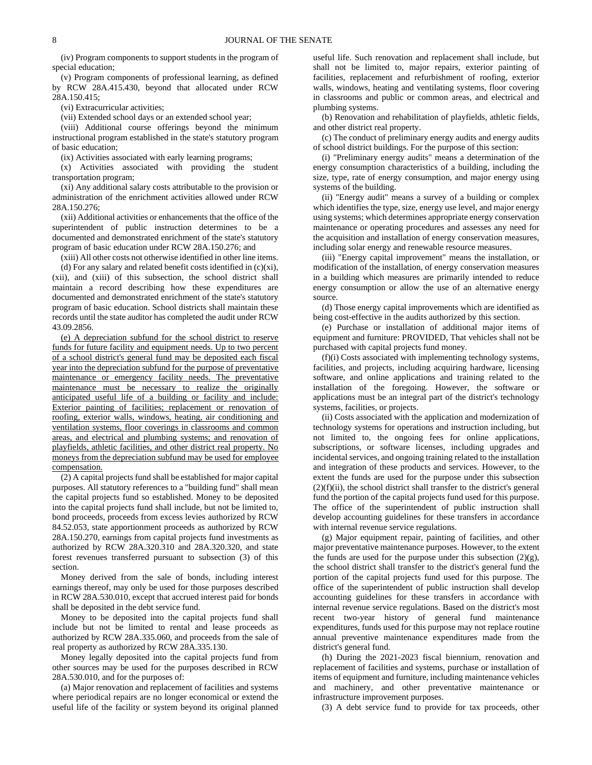(iv) Program components to support students in the program of special education;

(v) Program components of professional learning, as defined by RCW 28A.415.430, beyond that allocated under RCW 28A.150.415;

(vi) Extracurricular activities;

(vii) Extended school days or an extended school year;

(viii) Additional course offerings beyond the minimum instructional program established in the state's statutory program of basic education;

(ix) Activities associated with early learning programs;

(x) Activities associated with providing the student transportation program;

(xi) Any additional salary costs attributable to the provision or administration of the enrichment activities allowed under RCW 28A.150.276;

(xii) Additional activities or enhancements that the office of the superintendent of public instruction determines to be a documented and demonstrated enrichment of the state's statutory program of basic education under RCW 28A.150.276; and

(xiii) All other costs not otherwise identified in other line items.

(d) For any salary and related benefit costs identified in  $(c)(xi)$ , (xii), and (xiii) of this subsection, the school district shall maintain a record describing how these expenditures are documented and demonstrated enrichment of the state's statutory program of basic education. School districts shall maintain these records until the state auditor has completed the audit under RCW 43.09.2856.

(e) A depreciation subfund for the school district to reserve funds for future facility and equipment needs. Up to two percent of a school district's general fund may be deposited each fiscal year into the depreciation subfund for the purpose of preventative maintenance or emergency facility needs. The preventative maintenance must be necessary to realize the originally anticipated useful life of a building or facility and include: Exterior painting of facilities; replacement or renovation of roofing, exterior walls, windows, heating, air conditioning and ventilation systems, floor coverings in classrooms and common areas, and electrical and plumbing systems; and renovation of playfields, athletic facilities, and other district real property. No moneys from the depreciation subfund may be used for employee compensation.

(2) A capital projects fund shall be established for major capital purposes. All statutory references to a "building fund" shall mean the capital projects fund so established. Money to be deposited into the capital projects fund shall include, but not be limited to, bond proceeds, proceeds from excess levies authorized by RCW 84.52.053, state apportionment proceeds as authorized by RCW 28A.150.270, earnings from capital projects fund investments as authorized by RCW 28A.320.310 and 28A.320.320, and state forest revenues transferred pursuant to subsection (3) of this section.

Money derived from the sale of bonds, including interest earnings thereof, may only be used for those purposes described in RCW 28A.530.010, except that accrued interest paid for bonds shall be deposited in the debt service fund.

Money to be deposited into the capital projects fund shall include but not be limited to rental and lease proceeds as authorized by RCW 28A.335.060, and proceeds from the sale of real property as authorized by RCW 28A.335.130.

Money legally deposited into the capital projects fund from other sources may be used for the purposes described in RCW 28A.530.010, and for the purposes of:

(a) Major renovation and replacement of facilities and systems where periodical repairs are no longer economical or extend the useful life of the facility or system beyond its original planned useful life. Such renovation and replacement shall include, but shall not be limited to, major repairs, exterior painting of facilities, replacement and refurbishment of roofing, exterior walls, windows, heating and ventilating systems, floor covering in classrooms and public or common areas, and electrical and plumbing systems.

(b) Renovation and rehabilitation of playfields, athletic fields, and other district real property.

(c) The conduct of preliminary energy audits and energy audits of school district buildings. For the purpose of this section:

(i) "Preliminary energy audits" means a determination of the energy consumption characteristics of a building, including the size, type, rate of energy consumption, and major energy using systems of the building.

(ii) "Energy audit" means a survey of a building or complex which identifies the type, size, energy use level, and major energy using systems; which determines appropriate energy conservation maintenance or operating procedures and assesses any need for the acquisition and installation of energy conservation measures, including solar energy and renewable resource measures.

(iii) "Energy capital improvement" means the installation, or modification of the installation, of energy conservation measures in a building which measures are primarily intended to reduce energy consumption or allow the use of an alternative energy source.

(d) Those energy capital improvements which are identified as being cost-effective in the audits authorized by this section.

(e) Purchase or installation of additional major items of equipment and furniture: PROVIDED, That vehicles shall not be purchased with capital projects fund money.

(f)(i) Costs associated with implementing technology systems, facilities, and projects, including acquiring hardware, licensing software, and online applications and training related to the installation of the foregoing. However, the software or applications must be an integral part of the district's technology systems, facilities, or projects.

(ii) Costs associated with the application and modernization of technology systems for operations and instruction including, but not limited to, the ongoing fees for online applications, subscriptions, or software licenses, including upgrades and incidental services, and ongoing training related to the installation and integration of these products and services. However, to the extent the funds are used for the purpose under this subsection  $(2)(f)(ii)$ , the school district shall transfer to the district's general fund the portion of the capital projects fund used for this purpose. The office of the superintendent of public instruction shall develop accounting guidelines for these transfers in accordance with internal revenue service regulations.

(g) Major equipment repair, painting of facilities, and other major preventative maintenance purposes. However, to the extent the funds are used for the purpose under this subsection  $(2)(g)$ , the school district shall transfer to the district's general fund the portion of the capital projects fund used for this purpose. The office of the superintendent of public instruction shall develop accounting guidelines for these transfers in accordance with internal revenue service regulations. Based on the district's most recent two-year history of general fund maintenance expenditures, funds used for this purpose may not replace routine annual preventive maintenance expenditures made from the district's general fund.

(h) During the 2021-2023 fiscal biennium, renovation and replacement of facilities and systems, purchase or installation of items of equipment and furniture, including maintenance vehicles and machinery, and other preventative maintenance or infrastructure improvement purposes.

(3) A debt service fund to provide for tax proceeds, other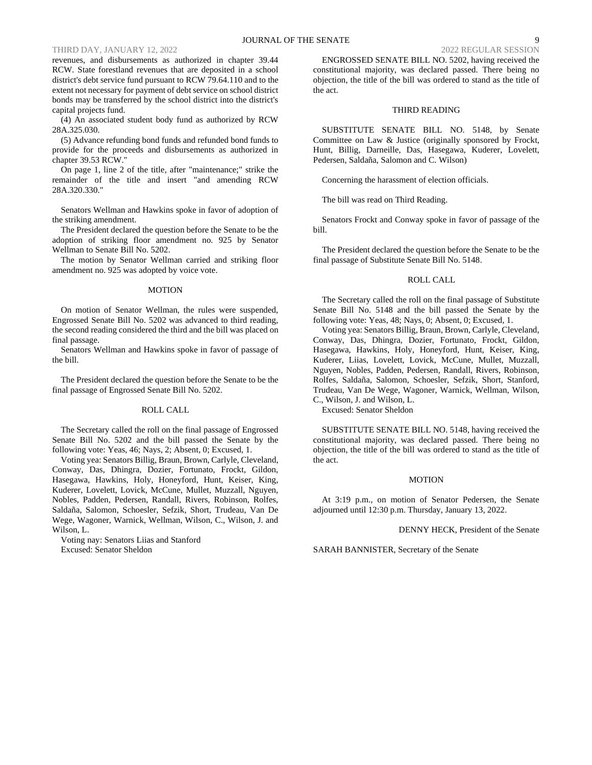# THIRD DAY, JANUARY 12, 2022

revenues, and disbursements as authorized in chapter 39.44 RCW. State forestland revenues that are deposited in a school district's debt service fund pursuant to RCW 79.64.110 and to the extent not necessary for payment of debt service on school district bonds may be transferred by the school district into the district's capital projects fund.

(4) An associated student body fund as authorized by RCW 28A.325.030.

(5) Advance refunding bond funds and refunded bond funds to provide for the proceeds and disbursements as authorized in chapter 39.53 RCW."

On page 1, line 2 of the title, after "maintenance;" strike the remainder of the title and insert "and amending RCW 28A.320.330."

Senators Wellman and Hawkins spoke in favor of adoption of the striking amendment.

The President declared the question before the Senate to be the adoption of striking floor amendment no. 925 by Senator Wellman to Senate Bill No. 5202.

The motion by Senator Wellman carried and striking floor amendment no. 925 was adopted by voice vote.

#### MOTION

On motion of Senator Wellman, the rules were suspended, Engrossed Senate Bill No. 5202 was advanced to third reading, the second reading considered the third and the bill was placed on final passage.

Senators Wellman and Hawkins spoke in favor of passage of the bill.

The President declared the question before the Senate to be the final passage of Engrossed Senate Bill No. 5202.

### ROLL CALL

The Secretary called the roll on the final passage of Engrossed Senate Bill No. 5202 and the bill passed the Senate by the following vote: Yeas, 46; Nays, 2; Absent, 0; Excused, 1.

Voting yea: Senators Billig, Braun, Brown, Carlyle, Cleveland, Conway, Das, Dhingra, Dozier, Fortunato, Frockt, Gildon, Hasegawa, Hawkins, Holy, Honeyford, Hunt, Keiser, King, Kuderer, Lovelett, Lovick, McCune, Mullet, Muzzall, Nguyen, Nobles, Padden, Pedersen, Randall, Rivers, Robinson, Rolfes, Saldaña, Salomon, Schoesler, Sefzik, Short, Trudeau, Van De Wege, Wagoner, Warnick, Wellman, Wilson, C., Wilson, J. and Wilson, L.

Voting nay: Senators Liias and Stanford Excused: Senator Sheldon

ENGROSSED SENATE BILL NO. 5202, having received the constitutional majority, was declared passed. There being no objection, the title of the bill was ordered to stand as the title of the act.

# THIRD READING

SUBSTITUTE SENATE BILL NO. 5148, by Senate Committee on Law & Justice (originally sponsored by Frockt, Hunt, Billig, Darneille, Das, Hasegawa, Kuderer, Lovelett, Pedersen, Saldaña, Salomon and C. Wilson)

Concerning the harassment of election officials.

The bill was read on Third Reading.

Senators Frockt and Conway spoke in favor of passage of the bill.

The President declared the question before the Senate to be the final passage of Substitute Senate Bill No. 5148.

## ROLL CALL

The Secretary called the roll on the final passage of Substitute Senate Bill No. 5148 and the bill passed the Senate by the following vote: Yeas, 48; Nays, 0; Absent, 0; Excused, 1.

Voting yea: Senators Billig, Braun, Brown, Carlyle, Cleveland, Conway, Das, Dhingra, Dozier, Fortunato, Frockt, Gildon, Hasegawa, Hawkins, Holy, Honeyford, Hunt, Keiser, King, Kuderer, Liias, Lovelett, Lovick, McCune, Mullet, Muzzall, Nguyen, Nobles, Padden, Pedersen, Randall, Rivers, Robinson, Rolfes, Saldaña, Salomon, Schoesler, Sefzik, Short, Stanford, Trudeau, Van De Wege, Wagoner, Warnick, Wellman, Wilson, C., Wilson, J. and Wilson, L.

Excused: Senator Sheldon

SUBSTITUTE SENATE BILL NO. 5148, having received the constitutional majority, was declared passed. There being no objection, the title of the bill was ordered to stand as the title of the act.

## MOTION

At 3:19 p.m., on motion of Senator Pedersen, the Senate adjourned until 12:30 p.m. Thursday, January 13, 2022.

DENNY HECK, President of the Senate

SARAH BANNISTER, Secretary of the Senate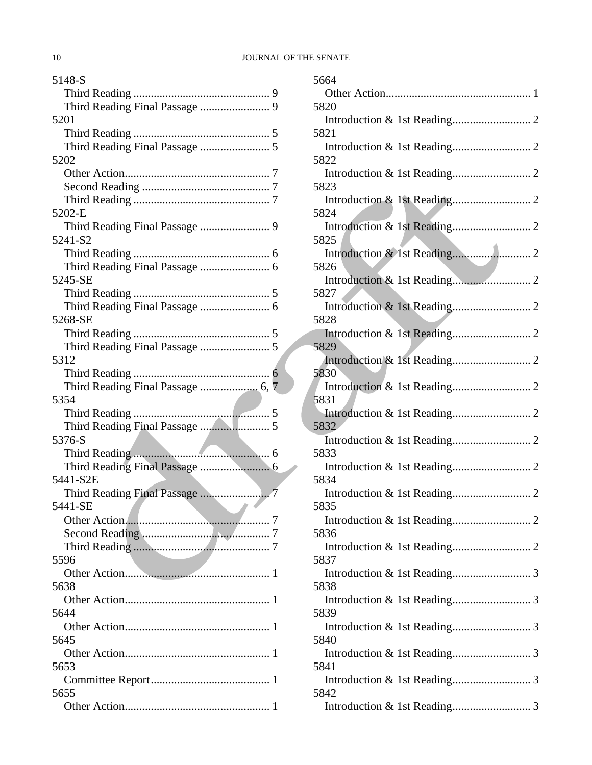| 5148-S                    |
|---------------------------|
|                           |
|                           |
| 5201                      |
|                           |
|                           |
| 5202                      |
|                           |
|                           |
|                           |
| 5202-E                    |
|                           |
| 5241-S2                   |
|                           |
|                           |
| 5245-SE                   |
|                           |
|                           |
| 5268-SE                   |
|                           |
|                           |
| 5312                      |
|                           |
|                           |
| 5354                      |
|                           |
|                           |
|                           |
|                           |
| 5376-S                    |
|                           |
|                           |
| 5441-S2E                  |
|                           |
| 5441-SE<br>$\blacksquare$ |
|                           |
|                           |
|                           |
| 5596                      |
|                           |
| 5638                      |
|                           |
| 5644                      |
|                           |
| 5645                      |
|                           |
| 5653                      |
|                           |
| 5655                      |

| 5664 |  |
|------|--|
|      |  |
| 5820 |  |
|      |  |
| 5821 |  |
| 5822 |  |
|      |  |
| 5823 |  |
| 5824 |  |
|      |  |
| 5825 |  |
| 5826 |  |
|      |  |
| 5827 |  |
|      |  |
| 5828 |  |
| 5829 |  |
|      |  |
| 5830 |  |
| 5831 |  |
|      |  |
| 5832 |  |
| 5833 |  |
|      |  |
| 5834 |  |
|      |  |
| 5835 |  |
| 5836 |  |
|      |  |
| 5837 |  |
| 5838 |  |
|      |  |
| 5839 |  |
| 5840 |  |
|      |  |
| 5841 |  |
|      |  |
| 5842 |  |
|      |  |